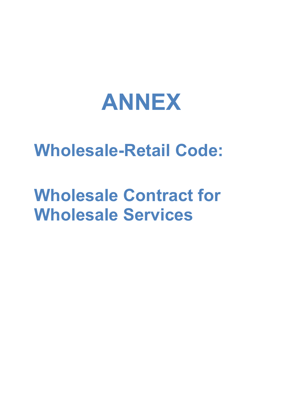

# **Wholesale-Retail Code:**

# **Wholesale Contract for Wholesale Services**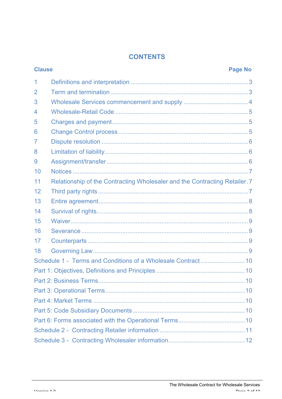#### **CONTENTS**

| <b>Clause</b> |                                                                            | <b>Page No</b> |  |  |  |
|---------------|----------------------------------------------------------------------------|----------------|--|--|--|
| 1             |                                                                            |                |  |  |  |
| 2             |                                                                            |                |  |  |  |
| 3             |                                                                            |                |  |  |  |
| 4             |                                                                            |                |  |  |  |
| 5             |                                                                            |                |  |  |  |
| 6             |                                                                            |                |  |  |  |
| 7             |                                                                            |                |  |  |  |
| 8             |                                                                            |                |  |  |  |
| 9             |                                                                            |                |  |  |  |
| 10            |                                                                            |                |  |  |  |
| 11            | Relationship of the Contracting Wholesaler and the Contracting Retailer. 7 |                |  |  |  |
| 12            |                                                                            |                |  |  |  |
| 13            |                                                                            |                |  |  |  |
| 14            |                                                                            |                |  |  |  |
| 15            |                                                                            |                |  |  |  |
| 16            |                                                                            |                |  |  |  |
| 17            |                                                                            |                |  |  |  |
| 18            |                                                                            |                |  |  |  |
|               |                                                                            |                |  |  |  |
|               |                                                                            |                |  |  |  |
|               |                                                                            |                |  |  |  |
|               |                                                                            |                |  |  |  |
|               |                                                                            |                |  |  |  |
|               |                                                                            |                |  |  |  |
|               |                                                                            |                |  |  |  |
|               |                                                                            |                |  |  |  |
|               |                                                                            |                |  |  |  |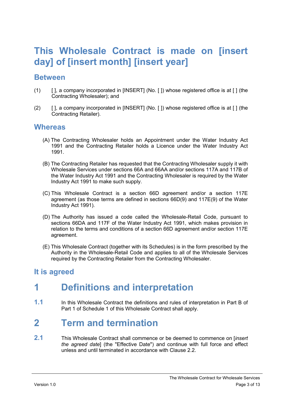## **This Wholesale Contract is made on [insert day] of [insert month] [insert year]**

#### **Between**

- (1) [ ], a company incorporated in [INSERT] (No. [ ]) whose registered office is at [ ] (the Contracting Wholesaler); and
- (2) [ ], a company incorporated in [INSERT] (No. [ ]) whose registered office is at [ ] (the Contracting Retailer).

#### **Whereas**

- (A) The Contracting Wholesaler holds an Appointment under the Water Industry Act 1991 and the Contracting Retailer holds a Licence under the Water Industry Act 1991.
- (B) The Contracting Retailer has requested that the Contracting Wholesaler supply it with Wholesale Services under sections 66A and 66AA and/or sections 117A and 117B of the Water Industry Act 1991 and the Contracting Wholesaler is required by the Water Industry Act 1991 to make such supply.
- (C) This Wholesale Contract is a section 66D agreement and/or a section 117E agreement (as those terms are defined in sections 66D(9) and 117E(9) of the Water Industry Act 1991).
- (D) The Authority has issued a code called the Wholesale-Retail Code, pursuant to sections 66DA and 117F of the Water Industry Act 1991, which makes provision in relation to the terms and conditions of a section 66D agreement and/or section 117E agreement.
- (E) This Wholesale Contract (together with its Schedules) is in the form prescribed by the Authority in the Wholesale-Retail Code and applies to all of the Wholesale Services required by the Contracting Retailer from the Contracting Wholesaler.

#### **It is agreed**

## **1 Definitions and interpretation**

**1.1** In this Wholesale Contract the definitions and rules of interpretation in Part B of Part 1 of Schedule 1 of this Wholesale Contract shall apply.

#### **2 Term and termination**

**2.1** This Wholesale Contract shall commence or be deemed to commence on [*insert the agreed date*] (the "Effective Date") and continue with full force and effect unless and until terminated in accordance with Clause 2.2.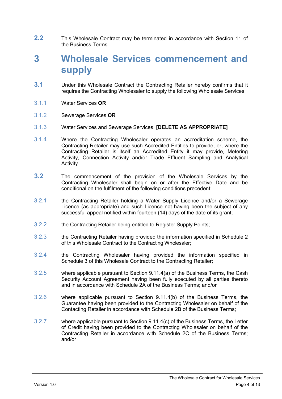**2.2** This Wholesale Contract may be terminated in accordance with Section 11 of the Business Terms.

## **3 Wholesale Services commencement and supply**

- **3.1** Under this Wholesale Contract the Contracting Retailer hereby confirms that it requires the Contracting Wholesaler to supply the following Wholesale Services:
- 3.1.1 Water Services **OR**
- 3.1.2 Sewerage Services **OR**
- 3.1.3 Water Services and Sewerage Services. **[DELETE AS APPROPRIATE]**
- 3.1.4 Where the Contracting Wholesaler operates an accreditation scheme, the Contracting Retailer may use such Accredited Entities to provide, or, where the Contracting Retailer is itself an Accredited Entity it may provide, Metering Activity, Connection Activity and/or Trade Effluent Sampling and Analytical Activity.
- **3.2** The commencement of the provision of the Wholesale Services by the Contracting Wholesaler shall begin on or after the Effective Date and be conditional on the fulfilment of the following conditions precedent:
- 3.2.1 the Contracting Retailer holding a Water Supply Licence and/or a Sewerage Licence (as appropriate) and such Licence not having been the subject of any successful appeal notified within fourteen (14) days of the date of its grant;
- 3.2.2 the Contracting Retailer being entitled to Register Supply Points;
- 3.2.3 the Contracting Retailer having provided the information specified in Schedule 2 of this Wholesale Contract to the Contracting Wholesaler;
- 3.2.4 the Contracting Wholesaler having provided the information specified in Schedule 3 of this Wholesale Contract to the Contracting Retailer;
- 3.2.5 where applicable pursuant to Section 9.11.4(a) of the Business Terms, the Cash Security Account Agreement having been fully executed by all parties thereto and in accordance with Schedule 2A of the Business Terms; and/or
- 3.2.6 where applicable pursuant to Section 9.11.4(b) of the Business Terms, the Guarantee having been provided to the Contracting Wholesaler on behalf of the Contacting Retailer in accordance with Schedule 2B of the Business Terms;
- 3.2.7 where applicable pursuant to Section 9.11.4(c) of the Business Terms, the Letter of Credit having been provided to the Contracting Wholesaler on behalf of the Contracting Retailer in accordance with Schedule 2C of the Business Terms; and/or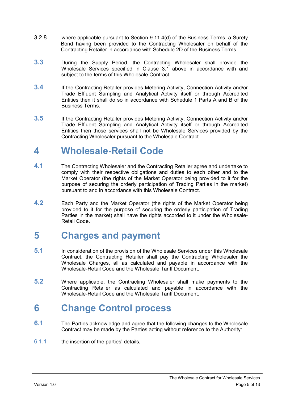- 3.2.8 where applicable pursuant to Section 9.11.4(d) of the Business Terms, a Surety Bond having been provided to the Contracting Wholesaler on behalf of the Contracting Retailer in accordance with Schedule 2D of the Business Terms.
- **3.3** During the Supply Period, the Contracting Wholesaler shall provide the Wholesale Services specified in Clause 3.1 above in accordance with and subject to the terms of this Wholesale Contract.
- **3.4** If the Contracting Retailer provides Metering Activity, Connection Activity and/or Trade Effluent Sampling and Analytical Activity itself or through Accredited Entities then it shall do so in accordance with Schedule 1 Parts A and B of the Business Terms.
- **3.5** If the Contracting Retailer provides Metering Activity, Connection Activity and/or Trade Effluent Sampling and Analytical Activity itself or through Accredited Entities then those services shall not be Wholesale Services provided by the Contracting Wholesaler pursuant to the Wholesale Contract.

#### **4 Wholesale-Retail Code**

- **4.1** The Contracting Wholesaler and the Contracting Retailer agree and undertake to comply with their respective obligations and duties to each other and to the Market Operator (the rights of the Market Operator being provided to it for the purpose of securing the orderly participation of Trading Parties in the market) pursuant to and in accordance with this Wholesale Contract.
- **4.2** Each Party and the Market Operator (the rights of the Market Operator being provided to it for the purpose of securing the orderly participation of Trading Parties in the market) shall have the rights accorded to it under the Wholesale-Retail Code.

#### **5 Charges and payment**

- **5.1** In consideration of the provision of the Wholesale Services under this Wholesale Contract, the Contracting Retailer shall pay the Contracting Wholesaler the Wholesale Charges, all as calculated and payable in accordance with the Wholesale-Retail Code and the Wholesale Tariff Document.
- **5.2** Where applicable, the Contracting Wholesaler shall make payments to the Contracting Retailer as calculated and payable in accordance with the Wholesale-Retail Code and the Wholesale Tariff Document.

#### **6 Change Control process**

- **6.1** The Parties acknowledge and agree that the following changes to the Wholesale Contract may be made by the Parties acting without reference to the Authority:
- 6.1.1 the insertion of the parties' details,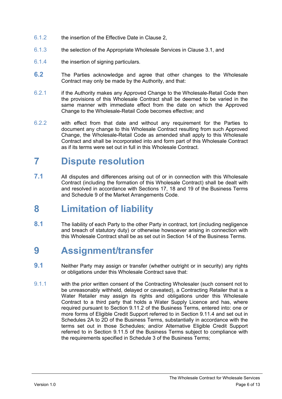- 6.1.2 the insertion of the Effective Date in Clause 2,
- 6.1.3 the selection of the Appropriate Wholesale Services in Clause 3.1, and
- 6.1.4 the insertion of signing particulars.
- **6.2** The Parties acknowledge and agree that other changes to the Wholesale Contract may only be made by the Authority, and that:
- 6.2.1 if the Authority makes any Approved Change to the Wholesale-Retail Code then the provisions of this Wholesale Contract shall be deemed to be varied in the same manner with immediate effect from the date on which the Approved Change to the Wholesale-Retail Code becomes effective; and
- 6.2.2 with effect from that date and without any requirement for the Parties to document any change to this Wholesale Contract resulting from such Approved Change, the Wholesale-Retail Code as amended shall apply to this Wholesale Contract and shall be incorporated into and form part of this Wholesale Contract as if its terms were set out in full in this Wholesale Contract.

## **7 Dispute resolution**

**7.1** All disputes and differences arising out of or in connection with this Wholesale Contract (including the formation of this Wholesale Contract) shall be dealt with and resolved in accordance with Sections 17, 18 and 19 of the Business Terms and Schedule 9 of the Market Arrangements Code.

## **8 Limitation of liability**

**8.1** The liability of each Party to the other Party in contract, tort (including negligence and breach of statutory duty) or otherwise howsoever arising in connection with this Wholesale Contract shall be as set out in Section 14 of the Business Terms.

#### **9 Assignment/transfer**

- **9.1** Neither Party may assign or transfer (whether outright or in security) any rights or obligations under this Wholesale Contract save that:
- 9.1.1 with the prior written consent of the Contracting Wholesaler (such consent not to be unreasonably withheld, delayed or caveated), a Contracting Retailer that is a Water Retailer may assign its rights and obligations under this Wholesale Contract to a third party that holds a Water Supply Licence and has, where required pursuant to Section 9.11.2 of the Business Terms, entered into: one or more forms of Eligible Credit Support referred to in Section 9.11.4 and set out in Schedules 2A to 2D of the Business Terms, substantially in accordance with the terms set out in those Schedules; and/or Alternative Eligible Credit Support referred to in Section 9.11.5 of the Business Terms subject to compliance with the requirements specified in Schedule 3 of the Business Terms;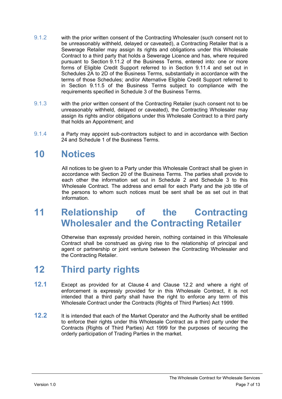- 9.1.2 with the prior written consent of the Contracting Wholesaler (such consent not to be unreasonably withheld, delayed or caveated), a Contracting Retailer that is a Sewerage Retailer may assign its rights and obligations under this Wholesale Contract to a third party that holds a Sewerage Licence and has, where required pursuant to Section 9.11.2 of the Business Terms, entered into: one or more forms of Eligible Credit Support referred to in Section 9.11.4 and set out in Schedules 2A to 2D of the Business Terms, substantially in accordance with the terms of those Schedules; and/or Alternative Eligible Credit Support referred to in Section 9.11.5 of the Business Terms subject to compliance with the requirements specified in Schedule 3 of the Business Terms.
- 9.1.3 with the prior written consent of the Contracting Retailer (such consent not to be unreasonably withheld, delayed or caveated), the Contracting Wholesaler may assign its rights and/or obligations under this Wholesale Contract to a third party that holds an Appointment; and
- 9.1.4 a Party may appoint sub-contractors subject to and in accordance with Section 24 and Schedule 1 of the Business Terms.

#### **10 Notices**

All notices to be given to a Party under this Wholesale Contract shall be given in accordance with Section 20 of the Business Terms. The parties shall provide to each other the information set out in Schedule 2 and Schedule 3 to this Wholesale Contract. The address and email for each Party and the job title of the persons to whom such notices must be sent shall be as set out in that information.

#### **11 Relationship of the Contracting Wholesaler and the Contracting Retailer**

Otherwise than expressly provided herein, nothing contained in this Wholesale Contract shall be construed as giving rise to the relationship of principal and agent or partnership or joint venture between the Contracting Wholesaler and the Contracting Retailer.

## **12 Third party rights**

- **12.1** Except as provided for at Clause 4 and Clause 12.2 and where a right of enforcement is expressly provided for in this Wholesale Contract, it is not intended that a third party shall have the right to enforce any term of this Wholesale Contract under the Contracts (Rights of Third Parties) Act 1999.
- **12.2** It is intended that each of the Market Operator and the Authority shall be entitled to enforce their rights under this Wholesale Contract as a third party under the Contracts (Rights of Third Parties) Act 1999 for the purposes of securing the orderly participation of Trading Parties in the market.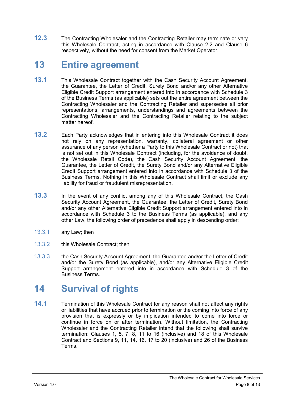**12.3** The Contracting Wholesaler and the Contracting Retailer may terminate or vary this Wholesale Contract, acting in accordance with Clause 2.2 and Clause 6 respectively, without the need for consent from the Market Operator.

#### **13 Entire agreement**

- **13.1** This Wholesale Contract together with the Cash Security Account Agreement, the Guarantee, the Letter of Credit, Surety Bond and/or any other Alternative Eligible Credit Support arrangement entered into in accordance with Schedule 3 of the Business Terms (as applicable) sets out the entire agreement between the Contracting Wholesaler and the Contracting Retailer and supersedes all prior representations, arrangements, understandings and agreements between the Contracting Wholesaler and the Contracting Retailer relating to the subject matter hereof.
- **13.2** Each Party acknowledges that in entering into this Wholesale Contract it does not rely on any representation, warranty, collateral agreement or other assurance of any person (whether a Party to this Wholesale Contract or not) that is not set out in this Wholesale Contract (including, for the avoidance of doubt, the Wholesale Retail Code), the Cash Security Account Agreement, the Guarantee, the Letter of Credit, the Surety Bond and/or any Alternative Eligible Credit Support arrangement entered into in accordance with Schedule 3 of the Business Terms. Nothing in this Wholesale Contract shall limit or exclude any liability for fraud or fraudulent misrepresentation.
- **13.3** In the event of any conflict among any of this Wholesale Contract, the Cash Security Account Agreement, the Guarantee, the Letter of Credit, Surety Bond and/or any other Alternative Eligible Credit Support arrangement entered into in accordance with Schedule 3 to the Business Terms (as applicable), and any other Law, the following order of precedence shall apply in descending order:
- 13.3.1 any Law; then
- 13.3.2 this Wholesale Contract; then
- 13.3.3 the Cash Security Account Agreement, the Guarantee and/or the Letter of Credit and/or the Surety Bond (as applicable), and/or any Alternative Eligible Credit Support arrangement entered into in accordance with Schedule 3 of the Business Terms.

#### **14 Survival of rights**

**14.1** Termination of this Wholesale Contract for any reason shall not affect any rights or liabilities that have accrued prior to termination or the coming into force of any provision that is expressly or by implication intended to come into force or continue in force on or after termination. Without limitation, the Contracting Wholesaler and the Contracting Retailer intend that the following shall survive termination: Clauses 1, 5, 7, 8, 11 to 16 (inclusive) and 18 of this Wholesale Contract and Sections 9, 11, 14, 16, 17 to 20 (inclusive) and 26 of the Business Terms.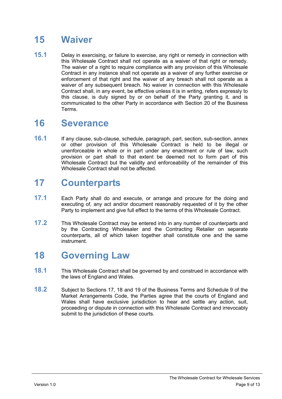## **15 Waiver**

**15.1** Delay in exercising, or failure to exercise, any right or remedy in connection with this Wholesale Contract shall not operate as a waiver of that right or remedy. The waiver of a right to require compliance with any provision of this Wholesale Contract in any instance shall not operate as a waiver of any further exercise or enforcement of that right and the waiver of any breach shall not operate as a waiver of any subsequent breach. No waiver in connection with this Wholesale Contract shall, in any event, be effective unless it is in writing, refers expressly to this clause, is duly signed by or on behalf of the Party granting it, and is communicated to the other Party in accordance with Section 20 of the Business Terms.

#### **16 Severance**

**16.1** If any clause, sub-clause, schedule, paragraph, part, section, sub-section, annex or other provision of this Wholesale Contract is held to be illegal or unenforceable in whole or in part under any enactment or rule of law, such provision or part shall to that extent be deemed not to form part of this Wholesale Contract but the validity and enforceability of the remainder of this Wholesale Contract shall not be affected.

## **17 Counterparts**

- **17.1** Each Party shall do and execute, or arrange and procure for the doing and executing of, any act and/or document reasonably requested of it by the other Party to implement and give full effect to the terms of this Wholesale Contract.
- **17.2** This Wholesale Contract may be entered into in any number of counterparts and by the Contracting Wholesaler and the Contracting Retailer on separate counterparts, all of which taken together shall constitute one and the same instrument.

## **18 Governing Law**

- **18.1** This Wholesale Contract shall be governed by and construed in accordance with the laws of England and Wales.
- **18.2** Subject to Sections 17, 18 and 19 of the Business Terms and Schedule 9 of the Market Arrangements Code, the Parties agree that the courts of England and Wales shall have exclusive jurisdiction to hear and settle any action, suit, proceeding or dispute in connection with this Wholesale Contract and irrevocably submit to the jurisdiction of these courts.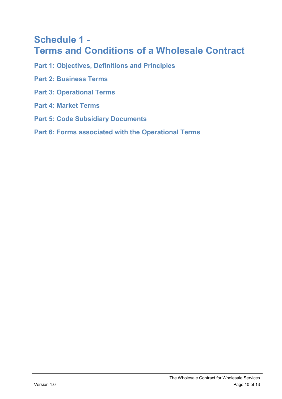## **Schedule 1 - Terms and Conditions of a Wholesale Contract**

- **Part 1: Objectives, Definitions and Principles**
- **Part 2: Business Terms**
- **Part 3: Operational Terms**
- **Part 4: Market Terms**
- **Part 5: Code Subsidiary Documents**
- **Part 6: Forms associated with the Operational Terms**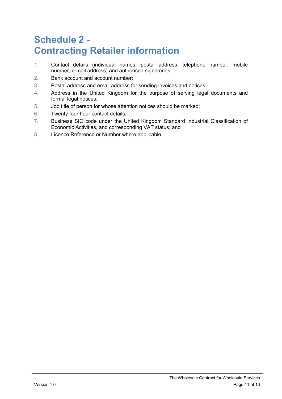# **Schedule 2 - Contracting Retailer information**

- 1. Contact details (individual names, postal address, telephone number, mobile number, e-mail address) and authorised signatories;
- 2. Bank account and account number;
- 3. Postal address and email address for sending invoices and notices;
- 4. Address in the United Kingdom for the purpose of serving legal documents and formal legal notices;
- 5. Job title of person for whose attention notices should be marked;
- 6. Twenty four hour contact details;
- 7. Business SIC code under the United Kingdom Standard Industrial Classification of Economic Activities, and corresponding VAT status; and
- 8. Licence Reference or Number where applicable.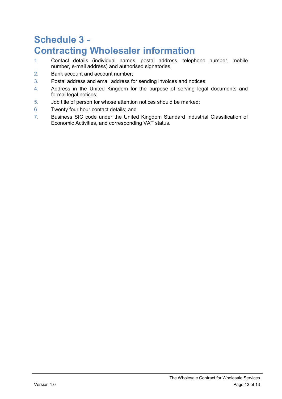# **Schedule 3 - Contracting Wholesaler information**

- 1. Contact details (individual names, postal address, telephone number, mobile number, e-mail address) and authorised signatories;
- 2. Bank account and account number;
- 3. Postal address and email address for sending invoices and notices;
- 4. Address in the United Kingdom for the purpose of serving legal documents and formal legal notices;
- 5. Job title of person for whose attention notices should be marked;
- 6. Twenty four hour contact details; and
- 7. Business SIC code under the United Kingdom Standard Industrial Classification of Economic Activities, and corresponding VAT status.